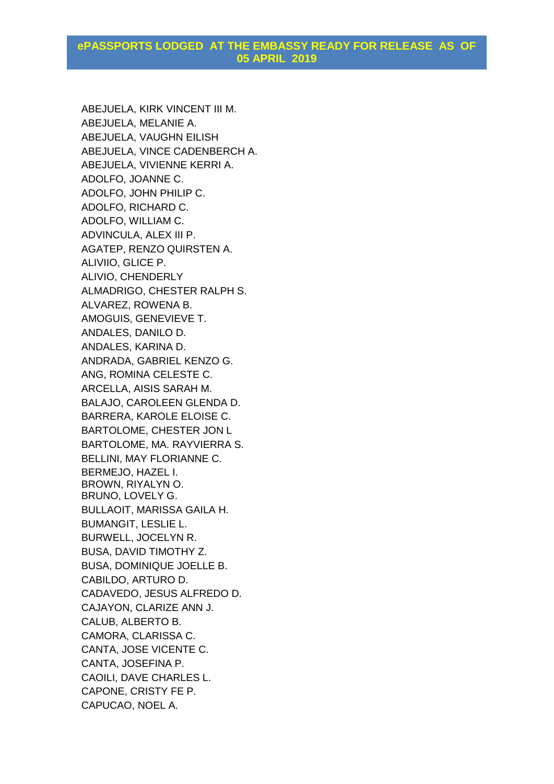## **ePASSPORTS LODGED AT THE EMBASSY READY FOR RELEASE AS OF 05 APRIL 2019**

ABEJUELA, KIRK VINCENT III M. ABEJUELA, MELANIE A. ABEJUELA, VAUGHN EILISH ABEJUELA, VINCE CADENBERCH A. ABEJUELA, VIVIENNE KERRI A. ADOLFO, JOANNE C. ADOLFO, JOHN PHILIP C. ADOLFO, RICHARD C. ADOLFO, WILLIAM C. ADVINCULA, ALEX III P. AGATEP, RENZO QUIRSTEN A. ALIVIIO, GLICE P. ALIVIO, CHENDERLY ALMADRIGO, CHESTER RALPH S. ALVAREZ, ROWENA B. AMOGUIS, GENEVIEVE T. ANDALES, DANILO D. ANDALES, KARINA D. ANDRADA, GABRIEL KENZO G. ANG, ROMINA CELESTE C. ARCELLA, AISIS SARAH M. BALAJO, CAROLEEN GLENDA D. BARRERA, KAROLE ELOISE C. BARTOLOME, CHESTER JON L BARTOLOME, MA. RAYVIERRA S. BELLINI, MAY FLORIANNE C. BERMEJO, HAZEL I. BROWN, RIYALYN O. BRUNO, LOVELY G. BULLAOIT, MARISSA GAILA H. BUMANGIT, LESLIE L. BURWELL, JOCELYN R. BUSA, DAVID TIMOTHY Z. BUSA, DOMINIQUE JOELLE B. CABILDO, ARTURO D. CADAVEDO, JESUS ALFREDO D. CAJAYON, CLARIZE ANN J. CALUB, ALBERTO B. CAMORA, CLARISSA C. CANTA, JOSE VICENTE C. CANTA, JOSEFINA P. CAOILI, DAVE CHARLES L. CAPONE, CRISTY FE P. CAPUCAO, NOEL A.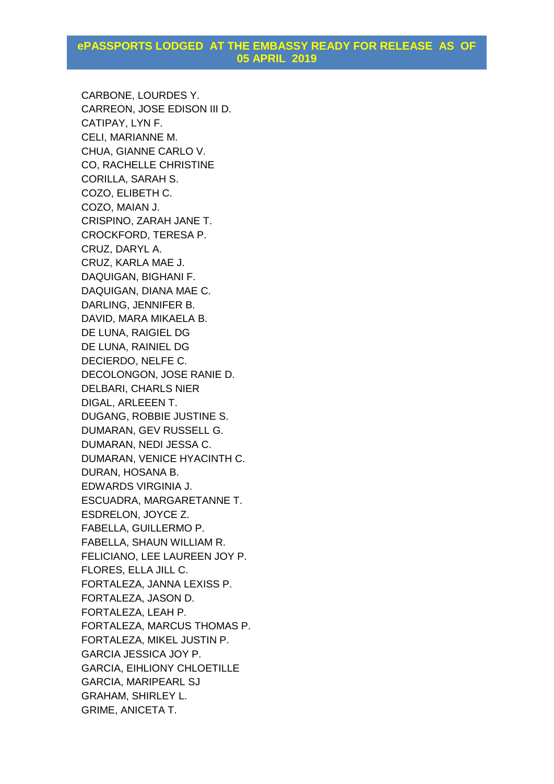## **ePASSPORTS LODGED AT THE EMBASSY READY FOR RELEASE AS OF 05 APRIL 2019**

CARBONE, LOURDES Y. CARREON, JOSE EDISON III D. CATIPAY, LYN F. CELI, MARIANNE M. CHUA, GIANNE CARLO V. CO, RACHELLE CHRISTINE CORILLA, SARAH S. COZO, ELIBETH C. COZO, MAIAN J. CRISPINO, ZARAH JANE T. CROCKFORD, TERESA P. CRUZ, DARYL A. CRUZ, KARLA MAE J. DAQUIGAN, BIGHANI F. DAQUIGAN, DIANA MAE C. DARLING, JENNIFER B. DAVID, MARA MIKAELA B. DE LUNA, RAIGIEL DG DE LUNA, RAINIEL DG DECIERDO, NELFE C. DECOLONGON, JOSE RANIE D. DELBARI, CHARLS NIER DIGAL, ARLEEEN T. DUGANG, ROBBIE JUSTINE S. DUMARAN, GEV RUSSELL G. DUMARAN, NEDI JESSA C. DUMARAN, VENICE HYACINTH C. DURAN, HOSANA B. EDWARDS VIRGINIA J. ESCUADRA, MARGARETANNE T. ESDRELON, JOYCE Z. FABELLA, GUILLERMO P. FABELLA, SHAUN WILLIAM R. FELICIANO, LEE LAUREEN JOY P. FLORES, ELLA JILL C. FORTALEZA, JANNA LEXISS P. FORTALEZA, JASON D. FORTALEZA, LEAH P. FORTALEZA, MARCUS THOMAS P. FORTALEZA, MIKEL JUSTIN P. GARCIA JESSICA JOY P. GARCIA, EIHLIONY CHLOETILLE GARCIA, MARIPEARL SJ GRAHAM, SHIRLEY L. GRIME, ANICETA T.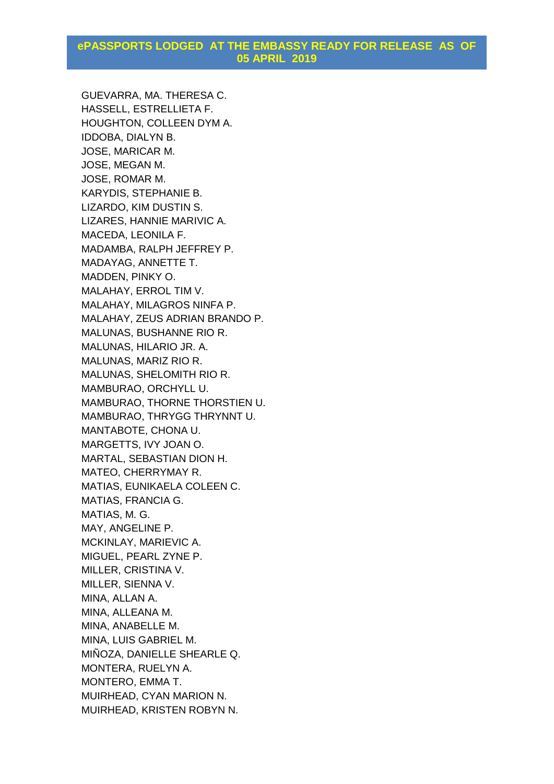## **ePASSPORTS LODGED AT THE EMBASSY READY FOR RELEASE AS OF 05 APRIL 2019**

GUEVARRA, MA. THERESA C. HASSELL, ESTRELLIETA F. HOUGHTON, COLLEEN DYM A. IDDOBA, DIALYN B. JOSE, MARICAR M. JOSE, MEGAN M. JOSE, ROMAR M. KARYDIS, STEPHANIE B. LIZARDO, KIM DUSTIN S. LIZARES, HANNIE MARIVIC A. MACEDA, LEONILA F. MADAMBA, RALPH JEFFREY P. MADAYAG, ANNETTE T. MADDEN, PINKY O. MALAHAY, ERROL TIM V. MALAHAY, MILAGROS NINFA P. MALAHAY, ZEUS ADRIAN BRANDO P. MALUNAS, BUSHANNE RIO R. MALUNAS, HILARIO JR. A. MALUNAS, MARIZ RIO R. MALUNAS, SHELOMITH RIO R. MAMBURAO, ORCHYLL U. MAMBURAO, THORNE THORSTIEN U. MAMBURAO, THRYGG THRYNNT U. MANTABOTE, CHONA U. MARGETTS, IVY JOAN O. MARTAL, SEBASTIAN DION H. MATEO, CHERRYMAY R. MATIAS, EUNIKAELA COLEEN C. MATIAS, FRANCIA G. MATIAS, M. G. MAY, ANGELINE P. MCKINLAY, MARIEVIC A. MIGUEL, PEARL ZYNE P. MILLER, CRISTINA V. MILLER, SIENNA V. MINA, ALLAN A. MINA, ALLEANA M. MINA, ANABELLE M. MINA, LUIS GABRIEL M. MIÑOZA, DANIELLE SHEARLE Q. MONTERA, RUELYN A. MONTERO, EMMA T. MUIRHEAD, CYAN MARION N. MUIRHEAD, KRISTEN ROBYN N.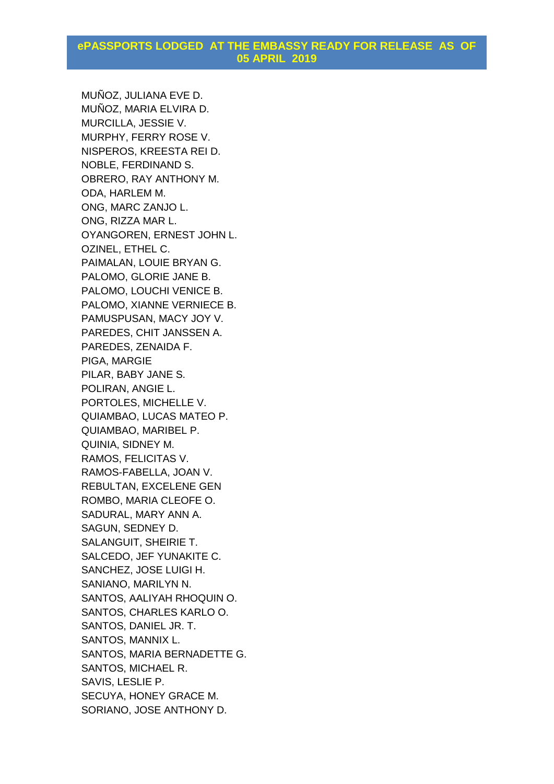MUÑOZ, JULIANA EVE D. MUÑOZ, MARIA ELVIRA D. MURCILLA, JESSIE V. MURPHY, FERRY ROSE V. NISPEROS, KREESTA REI D. NOBLE, FERDINAND S. OBRERO, RAY ANTHONY M. ODA, HARLEM M. ONG, MARC ZANJO L. ONG, RIZZA MAR L. OYANGOREN, ERNEST JOHN L. OZINEL, ETHEL C. PAIMALAN, LOUIE BRYAN G. PALOMO, GLORIE JANE B. PALOMO, LOUCHI VENICE B. PALOMO, XIANNE VERNIECE B. PAMUSPUSAN, MACY JOY V. PAREDES, CHIT JANSSEN A. PAREDES, ZENAIDA F. PIGA, MARGIE PILAR, BABY JANE S. POLIRAN, ANGIE L. PORTOLES, MICHELLE V. QUIAMBAO, LUCAS MATEO P. QUIAMBAO, MARIBEL P. QUINIA, SIDNEY M. RAMOS, FELICITAS V. RAMOS-FABELLA, JOAN V. REBULTAN, EXCELENE GEN ROMBO, MARIA CLEOFE O. SADURAL, MARY ANN A. SAGUN, SEDNEY D. SALANGUIT, SHEIRIE T. SALCEDO, JEF YUNAKITE C. SANCHEZ, JOSE LUIGI H. SANIANO, MARILYN N. SANTOS, AALIYAH RHOQUIN O. SANTOS, CHARLES KARLO O. SANTOS, DANIEL JR. T. SANTOS, MANNIX L. SANTOS, MARIA BERNADETTE G. SANTOS, MICHAEL R. SAVIS, LESLIE P. SECUYA, HONEY GRACE M. SORIANO, JOSE ANTHONY D.